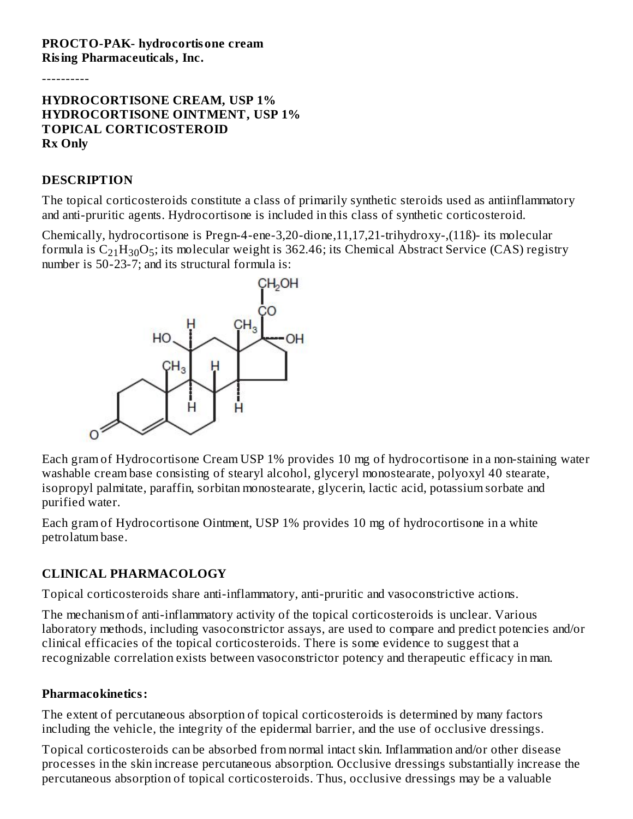----------

**HYDROCORTISONE CREAM, USP 1% HYDROCORTISONE OINTMENT, USP 1% TOPICAL CORTICOSTEROID Rx Only**

#### **DESCRIPTION**

The topical corticosteroids constitute a class of primarily synthetic steroids used as antiinflammatory and anti-pruritic agents. Hydrocortisone is included in this class of synthetic corticosteroid.

Chemically, hydrocortisone is Pregn-4-ene-3,20-dione,11,17,21-trihydroxy-,(11ß)- its molecular formula is  $\rm{C_{21}H_{30}O_5}$ ; its molecular weight is 362.46; its Chemical Abstract Service (CAS) registry number is 50-23-7; and its structural formula is:



Each gram of Hydrocortisone Cream USP 1% provides 10 mg of hydrocortisone in a non-staining water washable cream base consisting of stearyl alcohol, glyceryl monostearate, polyoxyl 40 stearate, isopropyl palmitate, paraffin, sorbitan monostearate, glycerin, lactic acid, potassium sorbate and purified water.

Each gram of Hydrocortisone Ointment, USP 1% provides 10 mg of hydrocortisone in a white petrolatum base.

# **CLINICAL PHARMACOLOGY**

Topical corticosteroids share anti-inflammatory, anti-pruritic and vasoconstrictive actions.

The mechanism of anti-inflammatory activity of the topical corticosteroids is unclear. Various laboratory methods, including vasoconstrictor assays, are used to compare and predict potencies and/or clinical efficacies of the topical corticosteroids. There is some evidence to suggest that a recognizable correlation exists between vasoconstrictor potency and therapeutic efficacy in man.

#### **Pharmacokinetics:**

The extent of percutaneous absorption of topical corticosteroids is determined by many factors including the vehicle, the integrity of the epidermal barrier, and the use of occlusive dressings.

Topical corticosteroids can be absorbed from normal intact skin. Inflammation and/or other disease processes in the skin increase percutaneous absorption. Occlusive dressings substantially increase the percutaneous absorption of topical corticosteroids. Thus, occlusive dressings may be a valuable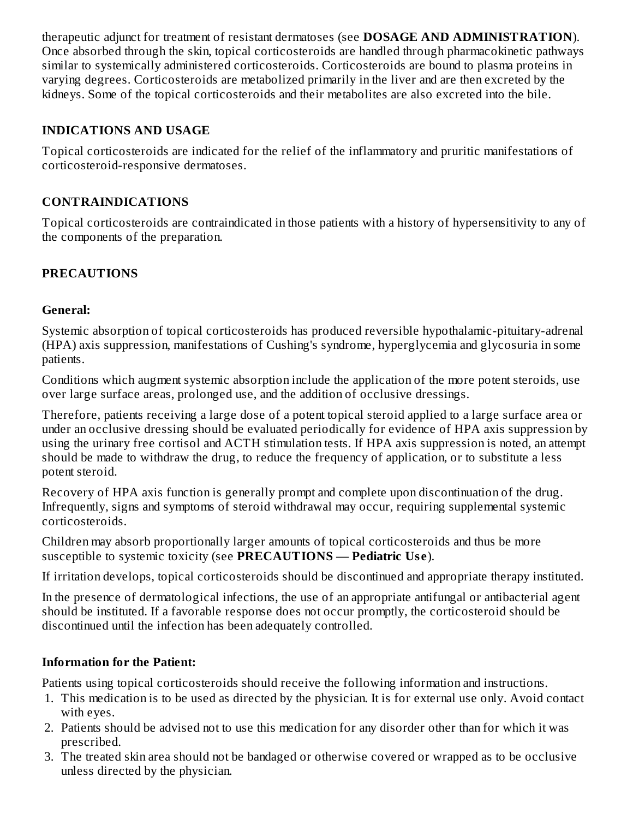therapeutic adjunct for treatment of resistant dermatoses (see **DOSAGE AND ADMINISTRATION**). Once absorbed through the skin, topical corticosteroids are handled through pharmacokinetic pathways similar to systemically administered corticosteroids. Corticosteroids are bound to plasma proteins in varying degrees. Corticosteroids are metabolized primarily in the liver and are then excreted by the kidneys. Some of the topical corticosteroids and their metabolites are also excreted into the bile.

# **INDICATIONS AND USAGE**

Topical corticosteroids are indicated for the relief of the inflammatory and pruritic manifestations of corticosteroid-responsive dermatoses.

# **CONTRAINDICATIONS**

Topical corticosteroids are contraindicated in those patients with a history of hypersensitivity to any of the components of the preparation.

# **PRECAUTIONS**

# **General:**

Systemic absorption of topical corticosteroids has produced reversible hypothalamic-pituitary-adrenal (HPA) axis suppression, manifestations of Cushing's syndrome, hyperglycemia and glycosuria in some patients.

Conditions which augment systemic absorption include the application of the more potent steroids, use over large surface areas, prolonged use, and the addition of occlusive dressings.

Therefore, patients receiving a large dose of a potent topical steroid applied to a large surface area or under an occlusive dressing should be evaluated periodically for evidence of HPA axis suppression by using the urinary free cortisol and ACTH stimulation tests. If HPA axis suppression is noted, an attempt should be made to withdraw the drug, to reduce the frequency of application, or to substitute a less potent steroid.

Recovery of HPA axis function is generally prompt and complete upon discontinuation of the drug. Infrequently, signs and symptoms of steroid withdrawal may occur, requiring supplemental systemic corticosteroids.

Children may absorb proportionally larger amounts of topical corticosteroids and thus be more susceptible to systemic toxicity (see **PRECAUTIONS — Pediatric Us e**).

If irritation develops, topical corticosteroids should be discontinued and appropriate therapy instituted.

In the presence of dermatological infections, the use of an appropriate antifungal or antibacterial agent should be instituted. If a favorable response does not occur promptly, the corticosteroid should be discontinued until the infection has been adequately controlled.

# **Information for the Patient:**

Patients using topical corticosteroids should receive the following information and instructions.

- 1. This medication is to be used as directed by the physician. It is for external use only. Avoid contact with eyes.
- 2. Patients should be advised not to use this medication for any disorder other than for which it was prescribed.
- 3. The treated skin area should not be bandaged or otherwise covered or wrapped as to be occlusive unless directed by the physician.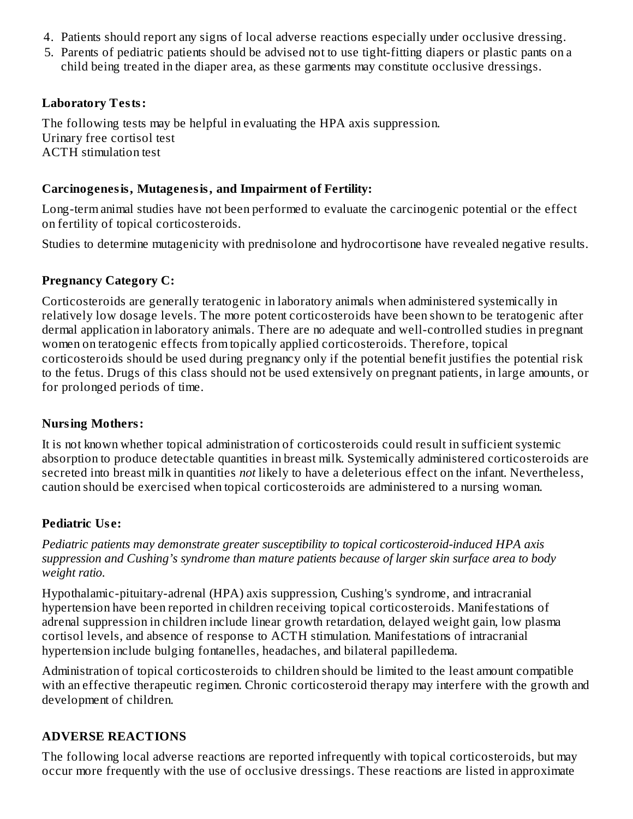- 4. Patients should report any signs of local adverse reactions especially under occlusive dressing.
- 5. Parents of pediatric patients should be advised not to use tight-fitting diapers or plastic pants on a child being treated in the diaper area, as these garments may constitute occlusive dressings.

#### **Laboratory Tests:**

The following tests may be helpful in evaluating the HPA axis suppression. Urinary free cortisol test ACTH stimulation test

#### **Carcinogenesis, Mutagenesis, and Impairment of Fertility:**

Long-term animal studies have not been performed to evaluate the carcinogenic potential or the effect on fertility of topical corticosteroids.

Studies to determine mutagenicity with prednisolone and hydrocortisone have revealed negative results.

#### **Pregnancy Category C:**

Corticosteroids are generally teratogenic in laboratory animals when administered systemically in relatively low dosage levels. The more potent corticosteroids have been shown to be teratogenic after dermal application in laboratory animals. There are no adequate and well-controlled studies in pregnant women on teratogenic effects from topically applied corticosteroids. Therefore, topical corticosteroids should be used during pregnancy only if the potential benefit justifies the potential risk to the fetus. Drugs of this class should not be used extensively on pregnant patients, in large amounts, or for prolonged periods of time.

#### **Nursing Mothers:**

It is not known whether topical administration of corticosteroids could result in sufficient systemic absorption to produce detectable quantities in breast milk. Systemically administered corticosteroids are secreted into breast milk in quantities *not* likely to have a deleterious effect on the infant. Nevertheless, caution should be exercised when topical corticosteroids are administered to a nursing woman.

#### **Pediatric Us e:**

*Pediatric patients may demonstrate greater susceptibility to topical corticosteroid-induced HPA axis suppression and Cushing's syndrome than mature patients because of larger skin surface area to body weight ratio.*

Hypothalamic-pituitary-adrenal (HPA) axis suppression, Cushing's syndrome, and intracranial hypertension have been reported in children receiving topical corticosteroids. Manifestations of adrenal suppression in children include linear growth retardation, delayed weight gain, low plasma cortisol levels, and absence of response to ACTH stimulation. Manifestations of intracranial hypertension include bulging fontanelles, headaches, and bilateral papilledema.

Administration of topical corticosteroids to children should be limited to the least amount compatible with an effective therapeutic regimen. Chronic corticosteroid therapy may interfere with the growth and development of children.

#### **ADVERSE REACTIONS**

The following local adverse reactions are reported infrequently with topical corticosteroids, but may occur more frequently with the use of occlusive dressings. These reactions are listed in approximate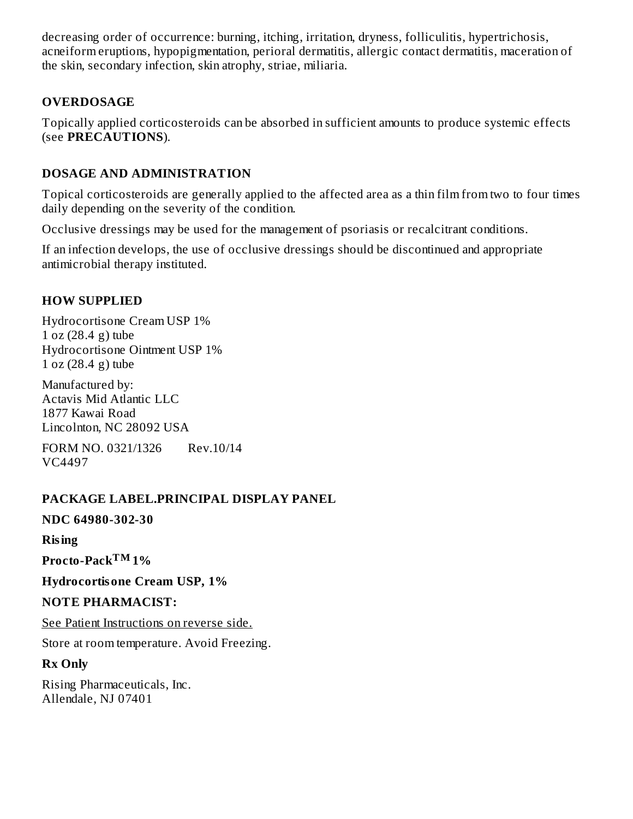decreasing order of occurrence: burning, itching, irritation, dryness, folliculitis, hypertrichosis, acneiform eruptions, hypopigmentation, perioral dermatitis, allergic contact dermatitis, maceration of the skin, secondary infection, skin atrophy, striae, miliaria.

## **OVERDOSAGE**

Topically applied corticosteroids can be absorbed in sufficient amounts to produce systemic effects (see **PRECAUTIONS**).

## **DOSAGE AND ADMINISTRATION**

Topical corticosteroids are generally applied to the affected area as a thin film from two to four times daily depending on the severity of the condition.

Occlusive dressings may be used for the management of psoriasis or recalcitrant conditions.

If an infection develops, the use of occlusive dressings should be discontinued and appropriate antimicrobial therapy instituted.

## **HOW SUPPLIED**

Hydrocortisone Cream USP 1% 1 oz (28.4 g) tube Hydrocortisone Ointment USP 1% 1 oz (28.4 g) tube

Manufactured by: Actavis Mid Atlantic LLC 1877 Kawai Road Lincolnton, NC 28092 USA

FORM NO. 0321/1326 Rev.10/14 VC4497

# **PACKAGE LABEL.PRINCIPAL DISPLAY PANEL**

**NDC 64980-302-30**

**Rising**

**Procto-Pack 1% TM**

**Hydrocortisone Cream USP, 1%**

#### **NOTE PHARMACIST:**

See Patient Instructions on reverse side.

Store at room temperature. Avoid Freezing.

#### **Rx Only**

Rising Pharmaceuticals, Inc. Allendale, NJ 07401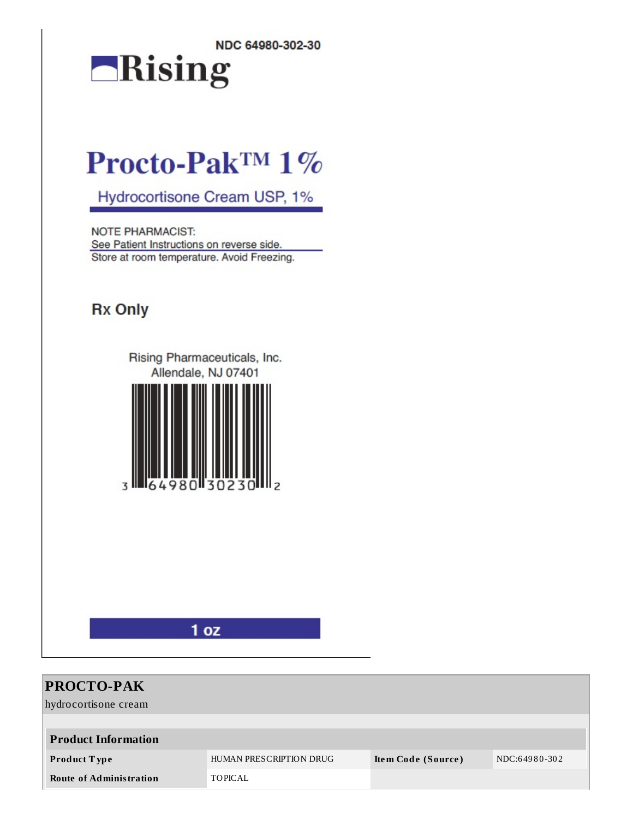NDC 64980-302-30



# Procto-Pak™ 1%

Hydrocortisone Cream USP, 1%

**NOTE PHARMACIST:** See Patient Instructions on reverse side.<br>Store at room temperature. Avoid Freezing.

# **Rx Only**



 $1 oz$ 

| <b>PROCTO-PAK</b>              |                         |                    |               |
|--------------------------------|-------------------------|--------------------|---------------|
| hydrocortisone cream           |                         |                    |               |
|                                |                         |                    |               |
| <b>Product Information</b>     |                         |                    |               |
| <b>Product Type</b>            | HUMAN PRESCRIPTION DRUG | Item Code (Source) | NDC:64980-302 |
| <b>Route of Administration</b> | TOPICAL                 |                    |               |